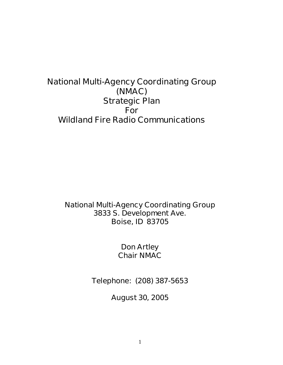# **National Multi-Agency Coordinating Group (NMAC) Strategic Plan For Wildland Fire Radio Communications**

**National Multi-Agency Coordinating Group 3833 S. Development Ave. Boise, ID 83705**

> **Don Artley Chair NMAC**

**Telephone: (208) 387-5653**

**August 30, 2005**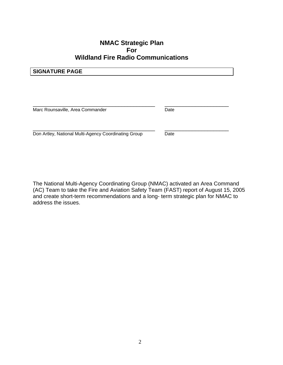# **NMAC Strategic Plan For Wildland Fire Radio Communications**

## **SIGNATURE PAGE**

\_\_\_\_\_\_\_\_\_\_\_\_\_\_\_\_\_\_\_\_\_\_\_\_\_\_\_\_\_\_\_\_\_\_\_\_\_\_\_\_ \_\_\_\_\_\_\_\_\_\_\_\_\_\_\_\_\_\_\_\_\_ Marc Rounsaville, Area Commander **Date** Date

Don Artley, National Multi-Agency Coordinating Group Date

\_\_\_\_\_\_\_\_\_\_\_\_\_\_\_\_\_\_\_\_\_\_\_\_\_\_\_\_\_\_\_\_\_\_\_\_\_\_\_\_ \_\_\_\_\_\_\_\_\_\_\_\_\_\_\_\_\_\_\_\_\_

The National Multi-Agency Coordinating Group (NMAC) activated an Area Command (AC) Team to take the Fire and Aviation Safety Team (FAST) report of August 15, 2005 and create short-term recommendations and a long- term strategic plan for NMAC to address the issues.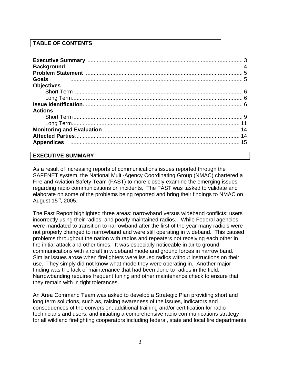## **TABLE OF CONTENTS**

| <b>Goals</b>      |  |
|-------------------|--|
| <b>Objectives</b> |  |
|                   |  |
|                   |  |
|                   |  |
| <b>Actions</b>    |  |
|                   |  |
|                   |  |
|                   |  |
|                   |  |
|                   |  |
|                   |  |

#### **EXECUTIVE SUMMARY**

As a result of increasing reports of communications issues reported through the SAFENET system, the National Multi-Agency Coordinating Group (NMAC) chartered a Fire and Aviation Safety Team (FAST) to more closely examine the emerging issues regarding radio communications on incidents. The FAST was tasked to validate and elaborate on some of the problems being reported and bring their findings to NMAC on August  $15<sup>th</sup>$ , 2005.

The Fast Report highlighted three areas: narrowband versus wideband conflicts; users incorrectly using their radios; and poorly maintained radios. While Federal agencies were mandated to transition to narrowband after the first of the year many radio's were not properly changed to narrowband and were still operating in wideband. This caused problems throughout the nation with radios and repeaters not receiving each other in fire initial attack and other times. It was especially noticeable in air to ground communications with aircraft in wideband mode and ground forces in narrow band. Similar issues arose when firefighters were issued radios without instructions on their use. They simply did not know what mode they were operating in. Another major finding was the lack of maintenance that had been done to radios in the field. Narrowbanding requires frequent tuning and other maintenance check to ensure that they remain with in tight tolerances.

An Area Command Team was asked to develop a Strategic Plan providing short and long term solutions, such as, raising awareness of the issues, indicators and consequences of the conversion, additional training and/or certification for radio technicians and users, and initiating a comprehensive radio communications strategy for all wildland firefighting cooperators including federal, state and local fire departments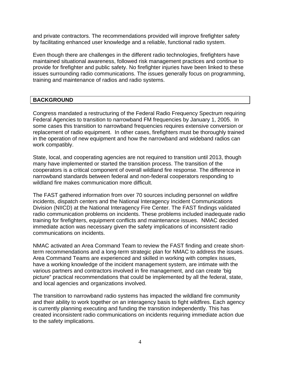and private contractors. The recommendations provided will improve firefighter safety by facilitating enhanced user knowledge and a reliable, functional radio system.

Even though there are challenges in the different radio technologies, firefighters have maintained situational awareness, followed risk management practices and continue to provide for firefighter and public safety. No firefighter injuries have been linked to these issues surrounding radio communications. The issues generally focus on programming, training and maintenance of radios and radio systems.

# **BACKGROUND**

Congress mandated a restructuring of the Federal Radio Frequency Spectrum requiring Federal Agencies to transition to narrowband FM frequencies by January 1, 2005. In some cases this transition to narrowband frequencies requires extensive conversion or replacement of radio equipment. In other cases, firefighters must be thoroughly trained in the operation of new equipment and how the narrowband and wideband radios can work compatibly.

State, local, and cooperating agencies are not required to transition until 2013, though many have implemented or started the transition process. The transition of the cooperators is a critical component of overall wildland fire response. The difference in narrowband standards between federal and non-federal cooperators responding to wildland fire makes communication more difficult.

The FAST gathered information from over 70 sources including personnel on wildfire incidents, dispatch centers and the National Interagency Incident Communications Division (NIICD) at the National Interagency Fire Center. The FAST findings validated radio communication problems on incidents. These problems included inadequate radio training for firefighters, equipment conflicts and maintenance issues. NMAC decided immediate action was necessary given the safety implications of inconsistent radio communications on incidents.

NMAC activated an Area Command Team to review the FAST finding and create shortterm recommendations and a long-term strategic plan for NMAC to address the issues. Area Command Teams are experienced and skilled in working with complex issues, have a working knowledge of the incident management system, are intimate with the various partners and contractors involved in fire management, and can create 'big picture" practical recommendations that could be implemented by all the federal, state, and local agencies and organizations involved.

The transition to narrowband radio systems has impacted the wildland fire community and their ability to work together on an interagency basis to fight wildfires. Each agency is currently planning executing and funding the transition independently. This has created inconsistent radio communications on incidents requiring immediate action due to the safety implications.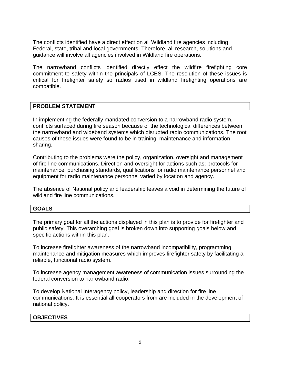The conflicts identified have a direct effect on all Wildland fire agencies including Federal, state, tribal and local governments. Therefore, all research, solutions and guidance will involve all agencies involved in Wildland fire operations.

The narrowband conflicts identified directly effect the wildfire firefighting core commitment to safety within the principals of LCES. The resolution of these issues is critical for firefighter safety so radios used in wildland firefighting operations are compatible.

#### **PROBLEM STATEMENT**

In implementing the federally mandated conversion to a narrowband radio system, conflicts surfaced during fire season because of the technological differences between the narrowband and wideband systems which disrupted radio communications. The root causes of these issues were found to be in training, maintenance and information sharing.

Contributing to the problems were the policy, organization, oversight and management of fire line communications. Direction and oversight for actions such as; protocols for maintenance, purchasing standards, qualifications for radio maintenance personnel and equipment for radio maintenance personnel varied by location and agency.

The absence of National policy and leadership leaves a void in determining the future of wildland fire line communications.

#### **GOALS**

The primary goal for all the actions displayed in this plan is to provide for firefighter and public safety. This overarching goal is broken down into supporting goals below and specific actions within this plan.

To increase firefighter awareness of the narrowband incompatibility, programming, maintenance and mitigation measures which improves firefighter safety by facilitating a reliable, functional radio system.

To increase agency management awareness of communication issues surrounding the federal conversion to narrowband radio.

To develop National Interagency policy, leadership and direction for fire line communications. It is essential all cooperators from are included in the development of national policy.

#### **OBJECTIVES**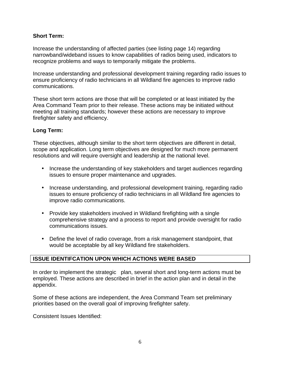#### **Short Term:**

Increase the understanding of affected parties (see listing page 14) regarding narrowband/wideband issues to know capabilities of radios being used, indicators to recognize problems and ways to temporarily mitigate the problems.

Increase understanding and professional development training regarding radio issues to ensure proficiency of radio technicians in all Wildland fire agencies to improve radio communications.

These short term actions are those that will be completed or at least initiated by the Area Command Team prior to their release. These actions may be initiated without meeting all training standards; however these actions are necessary to improve firefighter safety and efficiency.

#### **Long Term:**

These objectives, although similar to the short term objectives are different in detail, scope and application. Long term objectives are designed for much more permanent resolutions and will require oversight and leadership at the national level.

- Increase the understanding of key stakeholders and target audiences regarding issues to ensure proper maintenance and upgrades.
- Increase understanding, and professional development training, regarding radio issues to ensure proficiency of radio technicians in all Wildland fire agencies to improve radio communications.
- Provide key stakeholders involved in Wildland firefighting with a single comprehensive strategy and a process to report and provide oversight for radio communications issues.
- Define the level of radio coverage, from a risk management standpoint, that would be acceptable by all key Wildland fire stakeholders.

#### **ISSUE IDENTIFCATION UPON WHICH ACTIONS WERE BASED**

In order to implement the strategic plan, several short and long-term actions must be employed. These actions are described in brief in the action plan and in detail in the appendix.

Some of these actions are independent, the Area Command Team set preliminary priorities based on the overall goal of improving firefighter safety.

Consistent Issues Identified: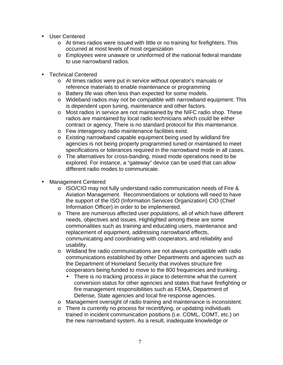- User Centered
	- o At times radios were issued with little or no training for firefighters. This occurred at most levels of most organization
	- o Employees were unaware or uninformed of the national federal mandate to use narrowband radios.
- Technical Centered
	- o At times radios were put in service without operator's manuals or reference materials to enable maintenance or programming
	- o Battery life was often less than expected for some models.
	- o Wideband radios may not be compatible with narrowband equipment. This is dependent upon tuning, maintenance and other factors.
	- o Most radios in service are not maintained by the NIFC radio shop. These radios are maintained by local radio technicians which could be either contract or agency. There is no standard protocol for this maintenance.
	- o Few interagency radio maintenance facilities exist.
	- o Existing narrowband capable equipment being used by wildland fire agencies is not being properly programmed tuned or maintained to meet specifications or tolerances required in the narrowband mode in all cases.
	- o The alternatives for cross-banding, mixed mode operations need to be explored. For instance, a "gateway" device can be used that can allow different radio modes to communicate.
- Management Centered
	- o ISO/CIO may not fully understand radio communication needs of Fire & Aviation Management. Recommendations or solutions will need to have the support of the ISO (Information Services Organization) CIO (Chief Information Officer) in order to be implemented.
	- o There are numerous affected user populations, all of which have different needs, objectives and issues. Highlighted among these are some commonalities such as training and educating users, maintenance and replacement of equipment, addressing narrowband effects, communicating and coordinating with cooperators, and reliability and usability.
	- o Wildland fire radio communications are not always compatible with radio communications established by other Departments and agencies such as the Department of Homeland Security that involves structure fire cooperators being funded to move to the 800 frequencies and trunking..
		- There is no tracking process in place to determine what the current conversion status for other agencies and states that have firefighting or fire management responsibilities such as FEMA, Department of Defense, State agencies and local fire response agencies.
	- o Management oversight of radio training and maintenance is inconsistent.
	- o There is currently no process for recertifying, or updating individuals trained in incident communication positions (i.e. COML, COMT, etc.) on the new narrowband system. As a result, inadequate knowledge or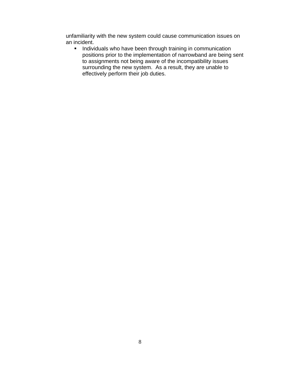unfamiliarity with the new system could cause communication issues on an incident.

**IF Individuals who have been through training in communication** positions prior to the implementation of narrowband are being sent to assignments not being aware of the incompatibility issues surrounding the new system. As a result, they are unable to effectively perform their job duties.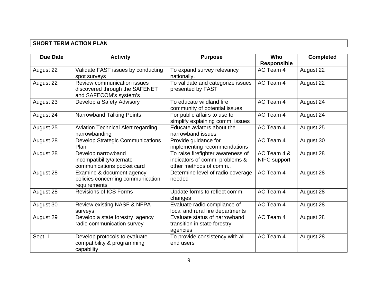# **SHORT TERM ACTION PLAN**

| <b>Due Date</b> | <b>Activity</b>                                                                         | <b>Purpose</b>                                                                               | Who<br><b>Responsible</b>   | <b>Completed</b> |
|-----------------|-----------------------------------------------------------------------------------------|----------------------------------------------------------------------------------------------|-----------------------------|------------------|
| August 22       | Validate FAST issues by conducting<br>spot surveys                                      | To expand survey relevancy<br>nationally.                                                    | AC Team 4                   | August 22        |
| August 22       | Review communication issues<br>discovered through the SAFENET<br>and SAFECOM's system's | To validate and categorize issues<br>presented by FAST                                       | AC Team 4                   | August 22        |
| August 23       | Develop a Safety Advisory                                                               | To educate wildland fire<br>community of potential issues                                    | AC Team 4                   | August 24        |
| August 24       | Narrowband Talking Points                                                               | For public affairs to use to<br>simplify explaining comm. issues                             | AC Team 4                   | August 24        |
| August 25       | <b>Aviation Technical Alert regarding</b><br>narrowbanding                              | Educate aviators about the<br>narrowband issues                                              | AC Team 4                   | August 25        |
| August 28       | <b>Develop Strategic Communications</b><br>Plan                                         | Provide guidance for<br>implementing recommendations                                         | AC Team 4                   | August 30        |
| August 28       | Develop narrowband<br>incompatibility/alternate<br>communications pocket card           | To raise firefighter awareness of<br>indicators of comm. problems &<br>other methods of comm | AC Team 4 &<br>NIFC support | August 28        |
| August 28       | Examine & document agency<br>policies concerning communication<br>requirements          | Determine level of radio coverage<br>needed                                                  | AC Team 4                   | August 28        |
| August 28       | <b>Revisions of ICS Forms</b>                                                           | Update forms to reflect comm.<br>changes                                                     | AC Team 4                   | August 28        |
| August 30       | Review existing NASF & NFPA<br>surveys.                                                 | Evaluate radio compliance of<br>local and rural fire departments                             | AC Team 4                   | August 28        |
| August 29       | Develop a state forestry agency<br>radio communication survey                           | Evaluate status of narrowband<br>transition in state forestry<br>agencies                    | AC Team 4                   | August 28        |
| Sept. 1         | Develop protocols to evaluate<br>compatibility & programming<br>capability              | To provide consistency with all<br>end users                                                 | AC Team 4                   | August 28        |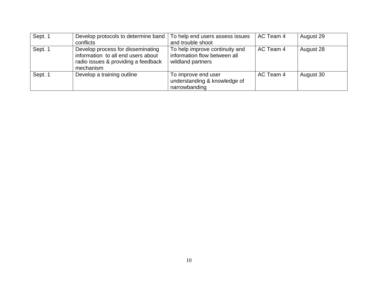| Sept. 1 | Develop protocols to determine band<br>conflicts                                                                            | To help end users assess issues<br>and trouble shoot                                | AC Team 4 | August 29 |
|---------|-----------------------------------------------------------------------------------------------------------------------------|-------------------------------------------------------------------------------------|-----------|-----------|
| Sept. 1 | Develop process for disseminating<br>information to all end users about<br>radio issues & providing a feedback<br>mechanism | To help improve continuity and<br>information flow between all<br>wildland partners | AC Team 4 | August 28 |
| Sept. 1 | Develop a training outline                                                                                                  | To improve end user<br>understanding & knowledge of<br>narrowbanding                | AC Team 4 | August 30 |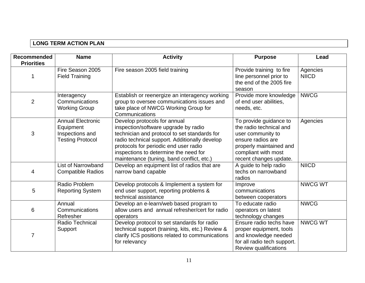# **LONG TERM ACTION PLAN**

| <b>Recommended</b> | <b>Name</b>                                                                         | <b>Activity</b>                                                                                                                                                                                                                                                                                      | <b>Purpose</b>                                                                                                                                                          | Lead                     |
|--------------------|-------------------------------------------------------------------------------------|------------------------------------------------------------------------------------------------------------------------------------------------------------------------------------------------------------------------------------------------------------------------------------------------------|-------------------------------------------------------------------------------------------------------------------------------------------------------------------------|--------------------------|
| <b>Priorities</b>  | Fire Season 2005<br><b>Field Training</b>                                           | Fire season 2005 field training                                                                                                                                                                                                                                                                      | Provide training to fire<br>line personnel prior to<br>the end of the 2005 fire<br>season                                                                               | Agencies<br><b>NIICD</b> |
| $\overline{2}$     | Interagency<br>Communications<br><b>Working Group</b>                               | Establish or reenergize an interagency working<br>group to oversee communications issues and<br>take place of NWCG Working Group for<br>Communications                                                                                                                                               | Provide more knowledge<br>of end user abilities,<br>needs, etc.                                                                                                         | <b>NWCG</b>              |
| 3                  | <b>Annual Electronic</b><br>Equipment<br>Inspections and<br><b>Testing Protocol</b> | Develop protocols for annual<br>inspection/software upgrade by radio<br>technician and protocol to set standards for<br>radio technical support. Additionally develop<br>protocols for periodic end user radio<br>inspections to determine the need for<br>maintenance (tuning, band conflict, etc.) | To provide guidance to<br>the radio technical and<br>user community to<br>ensure radios are<br>properly maintained and<br>compliant with most<br>recent changes update. | Agencies                 |
| 4                  | <b>List of Narrowband</b><br><b>Compatible Radios</b>                               | Develop an equipment list of radios that are<br>narrow band capable                                                                                                                                                                                                                                  | A guide to help radio<br>techs on narrowband<br>radios                                                                                                                  | <b>NIICD</b>             |
| 5                  | Radio Problem<br><b>Reporting System</b>                                            | Develop protocols & Implement a system for<br>end user support, reporting problems &<br>technical assistance                                                                                                                                                                                         | Improve<br>communications<br>between cooperators                                                                                                                        | <b>NWCG WT</b>           |
| 6                  | Annual<br>Communications<br>Refresher                                               | Develop an e-learn/web based program to<br>allow users and annual refresher/cert for radio<br>operators                                                                                                                                                                                              | To educate radio<br>operators on latest<br>technology changes                                                                                                           | <b>NWCG</b>              |
| 7                  | Radio Technical<br>Support                                                          | Develop protocol to set standards for radio<br>technical support (training, kits, etc.) Review &<br>clarify ICS positions related to communications<br>for relevancy                                                                                                                                 | Ensure radio techs have<br>proper equipment, tools<br>and knowledge needed<br>for all radio tech support.<br><b>Review qualifications</b>                               | <b>NWCG WT</b>           |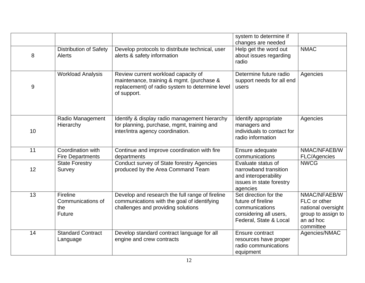|    |                                                |                                                                                                                                                    | system to determine if<br>changes are needed                                                                      |                                                                                                    |
|----|------------------------------------------------|----------------------------------------------------------------------------------------------------------------------------------------------------|-------------------------------------------------------------------------------------------------------------------|----------------------------------------------------------------------------------------------------|
| 8  | <b>Distribution of Safety</b><br><b>Alerts</b> | Develop protocols to distribute technical, user<br>alerts & safety information                                                                     | Help get the word out<br>about issues regarding<br>radio                                                          | <b>NMAC</b>                                                                                        |
| 9  | <b>Workload Analysis</b>                       | Review current workload capacity of<br>maintenance, training & mgmt. (purchase &<br>replacement) of radio system to determine level<br>of support. | Determine future radio<br>support needs for all end<br>users                                                      | Agencies                                                                                           |
| 10 | Radio Management<br>Hierarchy                  | Identify & display radio management hierarchy<br>for planning, purchase, mgmt, training and<br>inter/intra agency coordination.                    | Identify appropriate<br>managers and<br>individuals to contact for<br>radio information                           | Agencies                                                                                           |
| 11 | Coordination with<br><b>Fire Departments</b>   | Continue and improve coordination with fire<br>departments                                                                                         | Ensure adequate<br>communications                                                                                 | NMAC/NFAEB/W<br>FLC/Agencies                                                                       |
| 12 | <b>State Forestry</b><br>Survey                | <b>Conduct survey of State forestry Agencies</b><br>produced by the Area Command Team                                                              | Evaluate status of<br>narrowband transition<br>and interoperability<br>issues in state forestry<br>agencies       | <b>NWCG</b>                                                                                        |
| 13 | Fireline<br>Communications of<br>the<br>Future | Develop and research the full range of fireline<br>communications with the goal of identifying<br>challenges and providing solutions               | Set direction for the<br>future of fireline<br>communications<br>considering all users,<br>Federal, State & Local | NMAC/NFAEB/W<br>FLC or other<br>national oversight<br>group to assign to<br>an ad hoc<br>committee |
| 14 | <b>Standard Contract</b><br>Language           | Develop standard contract language for all<br>engine and crew contracts                                                                            | Ensure contract<br>resources have proper<br>radio communications<br>equipment                                     | Agencies/NMAC                                                                                      |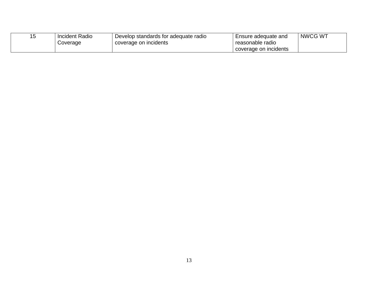| <b>Incident Radio</b> | . Develop standards for adequate radio | Ensure adequate and   | NWCG WT |
|-----------------------|----------------------------------------|-----------------------|---------|
| Coverage              | coverage on incidents                  | reasonable radio      |         |
|                       |                                        | coverage on incidents |         |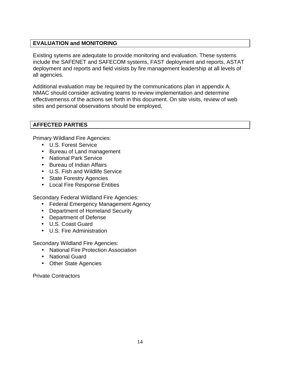# **EVALUATION and MONITORING**

Existing sytems are adequtate to provide monitoring and evaluation. These systems include the SAFENET and SAFECOM systems, FAST deployment and reports, ASTAT deployment and reports and field visists by fire management leadership at all levels of all agencies.

Additional evaluation may be required by the communications plan in appendix A. NMAC should consider activating teams to review implementation and determine effectivemenss of the actions set forth in this document. On site visits, review of web sites and personal observations should be employed,

## **AFFECTED PARTIES**

Primary Wildland Fire Agencies:

- U.S. Forest Service
- Bureau of Land management
- National Park Service
- Bureau of Indian Affairs
- U.S. Fish and Wildlife Service
- State Forestry Agencies
- Local Fire Response Entities

Secondary Federal Wildland Fire Agencies:

- Federal Emergency Management Agency
- Department of Homeland Security
- Department of Defense
- U.S. Coast Guard
- U.S. Fire Administration

Secondary Wildland Fire Agencies:

- National Fire Protection Association
- National Guard
- Other State Agencies

Private Contractors